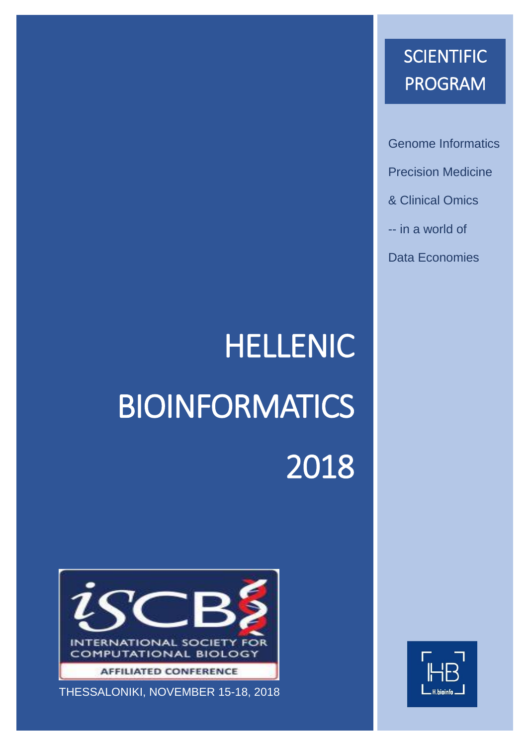## **SCIENTIFIC** PROGRAM

Genome Informatics Precision Medicine & Clinical Omics -- in a world of Data Economies

# HELLENIC **BIOINFORMATICS** 2018



THESSALONIKI, NOVEMBER 15-18, 2018

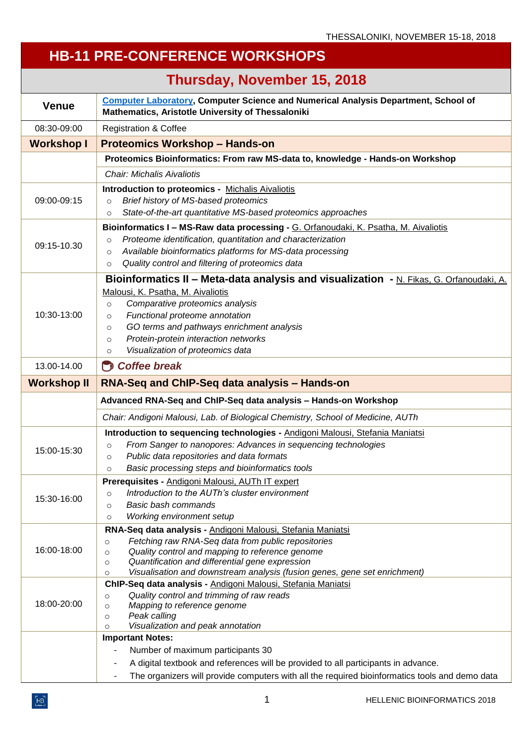### **HB-11 PRE-CONFERENCE WORKSHOPS**

|                    | Thursday, November 15, 2018                                                                                                                        |  |  |
|--------------------|----------------------------------------------------------------------------------------------------------------------------------------------------|--|--|
| <b>Venue</b>       | <b>Computer Laboratory, Computer Science and Numerical Analysis Department, School of</b><br>Mathematics, Aristotle University of Thessaloniki     |  |  |
| 08:30-09:00        | <b>Registration &amp; Coffee</b>                                                                                                                   |  |  |
| <b>Workshop I</b>  | <b>Proteomics Workshop - Hands-on</b>                                                                                                              |  |  |
|                    | Proteomics Bioinformatics: From raw MS-data to, knowledge - Hands-on Workshop                                                                      |  |  |
|                    | <b>Chair: Michalis Aivaliotis</b>                                                                                                                  |  |  |
|                    | <b>Introduction to proteomics - Michalis Aivaliotis</b>                                                                                            |  |  |
| 09:00-09:15        | Brief history of MS-based proteomics<br>$\circ$                                                                                                    |  |  |
|                    | State-of-the-art quantitative MS-based proteomics approaches<br>$\circ$                                                                            |  |  |
|                    | Bioinformatics I - MS-Raw data processing - G. Orfanoudaki, K. Psatha, M. Aivaliotis                                                               |  |  |
| 09:15-10.30        | Proteome identification, quantitation and characterization<br>$\circ$                                                                              |  |  |
|                    | Available bioinformatics platforms for MS-data processing<br>$\circ$                                                                               |  |  |
|                    | Quality control and filtering of proteomics data<br>$\circ$                                                                                        |  |  |
|                    | Bioinformatics II - Meta-data analysis and visualization - N. Fikas, G. Orfanoudaki, A.                                                            |  |  |
|                    | Malousi, K. Psatha, M. Aivaliotis                                                                                                                  |  |  |
| 10:30-13:00        | Comparative proteomics analysis<br>$\circ$                                                                                                         |  |  |
|                    | Functional proteome annotation<br>$\circ$<br>GO terms and pathways enrichment analysis<br>$\circ$                                                  |  |  |
|                    | Protein-protein interaction networks<br>$\circ$                                                                                                    |  |  |
|                    | Visualization of proteomics data<br>$\circ$                                                                                                        |  |  |
| 13.00-14.00        | $\bigcirc$ Coffee break                                                                                                                            |  |  |
| <b>Workshop II</b> | RNA-Seq and ChIP-Seq data analysis - Hands-on                                                                                                      |  |  |
|                    |                                                                                                                                                    |  |  |
|                    |                                                                                                                                                    |  |  |
|                    | Advanced RNA-Seq and ChIP-Seq data analysis - Hands-on Workshop<br>Chair: Andigoni Malousi, Lab. of Biological Chemistry, School of Medicine, AUTh |  |  |
|                    | Introduction to sequencing technologies - Andigoni Malousi, Stefania Maniatsi                                                                      |  |  |
|                    | From Sanger to nanopores: Advances in sequencing technologies<br>$\circ$                                                                           |  |  |
| 15:00-15:30        | Public data repositories and data formats<br>$\circ$                                                                                               |  |  |
|                    | Basic processing steps and bioinformatics tools<br>$\circ$                                                                                         |  |  |
|                    | Prerequisites - Andigoni Malousi, AUTh IT expert                                                                                                   |  |  |
| 15:30-16:00        | Introduction to the AUTh's cluster environment<br>$\circ$                                                                                          |  |  |
|                    | Basic bash commands<br>$\circ$                                                                                                                     |  |  |
|                    | Working environment setup<br>$\circ$                                                                                                               |  |  |
|                    | RNA-Seq data analysis - Andigoni Malousi, Stefania Maniatsi                                                                                        |  |  |
| 16:00-18:00        | Fetching raw RNA-Seq data from public repositories<br>$\circ$<br>Quality control and mapping to reference genome<br>$\circ$                        |  |  |
|                    | Quantification and differential gene expression<br>$\circ$                                                                                         |  |  |
|                    | Visualisation and downstream analysis (fusion genes, gene set enrichment)<br>$\circ$                                                               |  |  |
|                    | ChIP-Seq data analysis - Andigoni Malousi, Stefania Maniatsi                                                                                       |  |  |
| 18:00-20:00        | Quality control and trimming of raw reads<br>$\circ$                                                                                               |  |  |
|                    | Mapping to reference genome<br>$\circ$<br>Peak calling<br>$\circ$                                                                                  |  |  |
|                    | Visualization and peak annotation<br>$\circ$                                                                                                       |  |  |
|                    | <b>Important Notes:</b>                                                                                                                            |  |  |
|                    | Number of maximum participants 30                                                                                                                  |  |  |
|                    | A digital textbook and references will be provided to all participants in advance.                                                                 |  |  |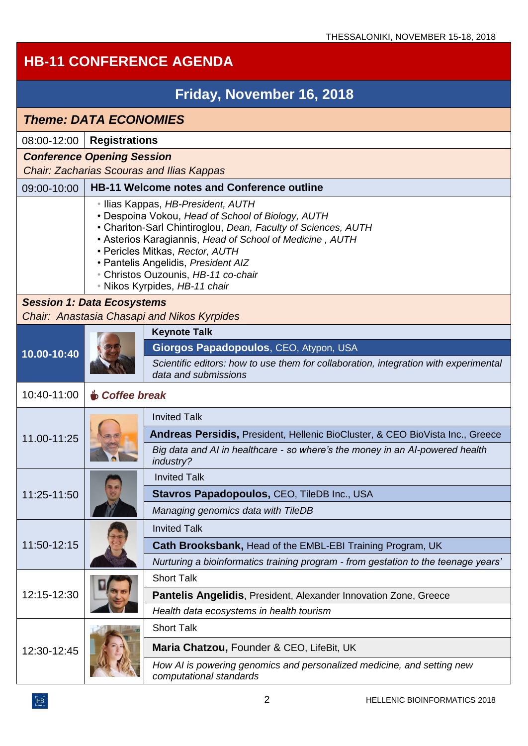#### **HB-11 CONFERENCE AGENDA Friday, November 16, 2018**  *Theme: DATA ECONOMIES* 08:00-12:00 **Registrations** *Conference Opening Session Chair: Zacharias Scouras and Ilias Kappas* 09:00-10:00 **HB-11 Welcome notes and Conference outline** • Ilias Kappas, *HB-President, AUTH*  • Despoina Vokou, *Head of School of Biology, AUTH*  • Chariton-Sarl Chintiroglou, *Dean, Faculty of Sciences, AUTH*  • Asterios Karagiannis, *Head of School of Medicine , AUTH*  • Pericles Mitkas, *Rector, AUTH*  • Pantelis Angelidis, *President AIZ*  • Christos Ouzounis, *HB-11 co-chair*  • Nikos Kyrpides, *HB-11 chair Session 1: Data Ecosystems Chair: Anastasia Chasapi and Nikos Kyrpides* **10.00-10:40 Keynote Talk Giorgos Papadopoulos**, CEO, Atypon, USA *Scientific editors: how to use them for collaboration, integration with experimental data and submissions* 10:40-11:00☕ *Coffee break* 11.00-11:25 Invited Talk **Andreas Persidis,** President, Hellenic BioCluster, & CEO BioVista Inc., Greece *Big data and AI in healthcare - so where's the money in an AI-powered health industry?* 11:25-11:50 Invited Talk **Stavros Papadopoulos,** CEO, TileDB Inc., USA *Managing genomics data with TileDB* 11:50-12:15 Invited Talk **Cath Brooksbank,** Head of the EMBL-EBI Training Program, UK *Nurturing a bioinformatics training program - from gestation to the teenage years'* 12:15-12:30 Short Talk **Pantelis Angelidis**, President, Alexander Innovation Zone, Greece *Health data ecosystems in health tourism* 12:30-12:45 Short Talk **Maria Chatzou,** Founder & CEO, LifeBit, UK *How AI is powering genomics and personalized medicine, and setting new computational standards*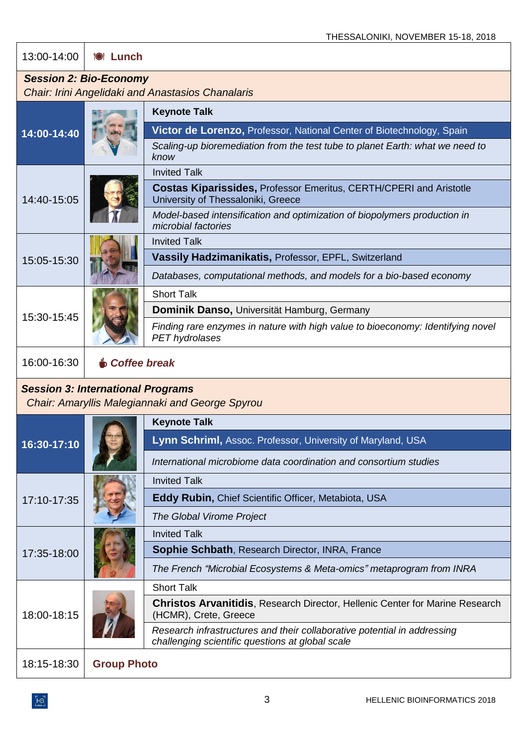13:00-14:00 **Lunch**

#### *Session 2: Bio-Economy*

*Chair: Irini Angelidaki and Anastasios Chanalaris*

|                                          |                       | <b>Keynote Talk</b>                                                                                                          |
|------------------------------------------|-----------------------|------------------------------------------------------------------------------------------------------------------------------|
| 14:00-14:40                              |                       | Victor de Lorenzo, Professor, National Center of Biotechnology, Spain                                                        |
|                                          |                       | Scaling-up bioremediation from the test tube to planet Earth: what we need to<br>know                                        |
|                                          |                       | <b>Invited Talk</b>                                                                                                          |
| 14:40-15:05                              |                       | <b>Costas Kiparissides, Professor Emeritus, CERTH/CPERI and Aristotle</b><br>University of Thessaloniki, Greece              |
|                                          |                       | Model-based intensification and optimization of biopolymers production in<br>microbial factories                             |
|                                          |                       | <b>Invited Talk</b>                                                                                                          |
| 15:05-15:30                              |                       | Vassily Hadzimanikatis, Professor, EPFL, Switzerland                                                                         |
|                                          |                       | Databases, computational methods, and models for a bio-based economy                                                         |
|                                          |                       | <b>Short Talk</b>                                                                                                            |
| 15:30-15:45                              |                       | Dominik Danso, Universität Hamburg, Germany                                                                                  |
|                                          |                       | Finding rare enzymes in nature with high value to bioeconomy: Identifying novel<br>PET hydrolases                            |
| 16:00-16:30                              | <b>O</b> Coffee break |                                                                                                                              |
| <b>Session 3: International Programs</b> |                       | <b>Chair: Amaryllis Malegiannaki and George Spyrou</b>                                                                       |
|                                          |                       | <b>Keynote Talk</b>                                                                                                          |
| 16:30-17:10                              |                       | Lynn Schriml, Assoc. Professor, University of Maryland, USA                                                                  |
|                                          |                       | International microbiome data coordination and consortium studies                                                            |
|                                          |                       | <b>Invited Talk</b>                                                                                                          |
| 17:10-17:35                              |                       | Eddy Rubin, Chief Scientific Officer, Metabiota, USA                                                                         |
|                                          |                       | The Global Virome Project                                                                                                    |
|                                          |                       | <b>Invited Talk</b>                                                                                                          |
| 17:35-18:00                              |                       | Sophie Schbath, Research Director, INRA, France                                                                              |
|                                          |                       | The French "Microbial Ecosystems & Meta-omics" metaprogram from INRA                                                         |
|                                          |                       | <b>Short Talk</b>                                                                                                            |
| 18:00-18:15                              |                       | <b>Christos Arvanitidis, Research Director, Hellenic Center for Marine Research</b><br>(HCMR), Crete, Greece                 |
|                                          |                       | Research infrastructures and their collaborative potential in addressing<br>challenging scientific questions at global scale |
| 18:15-18:30                              | <b>Group Photo</b>    |                                                                                                                              |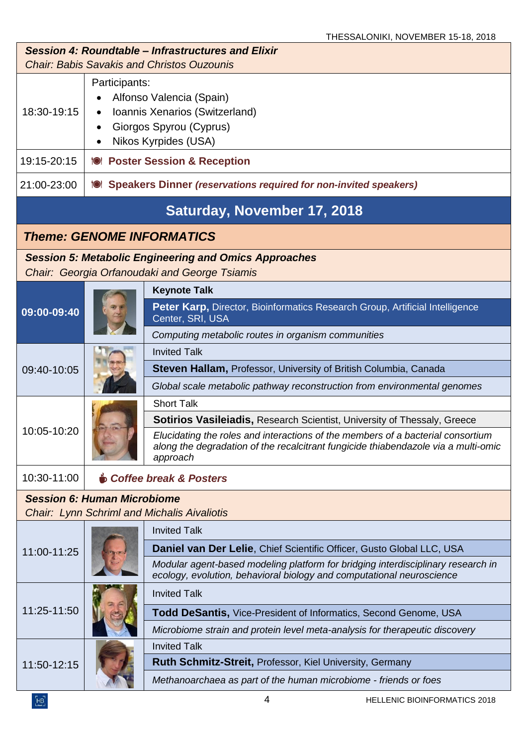| Session 4: Roundtable – Infrastructures and Elixir<br><b>Chair: Babis Savakis and Christos Ouzounis</b> |                                                                                                                                |                                                                                                                                                                                   |  |
|---------------------------------------------------------------------------------------------------------|--------------------------------------------------------------------------------------------------------------------------------|-----------------------------------------------------------------------------------------------------------------------------------------------------------------------------------|--|
| 18:30-19:15                                                                                             | Participants:<br>Alfonso Valencia (Spain)<br>Ioannis Xenarios (Switzerland)<br>Giorgos Spyrou (Cyprus)<br>Nikos Kyrpides (USA) |                                                                                                                                                                                   |  |
| 19:15-20:15                                                                                             |                                                                                                                                | 1 <sup>0</sup> Poster Session & Reception                                                                                                                                         |  |
| 21:00-23:00                                                                                             |                                                                                                                                | <b>IOI</b> Speakers Dinner (reservations required for non-invited speakers)                                                                                                       |  |
| Saturday, November 17, 2018                                                                             |                                                                                                                                |                                                                                                                                                                                   |  |
|                                                                                                         |                                                                                                                                | <b>Theme: GENOME INFORMATICS</b>                                                                                                                                                  |  |
|                                                                                                         |                                                                                                                                | <b>Session 5: Metabolic Engineering and Omics Approaches</b><br>Chair: Georgia Orfanoudaki and George Tsiamis                                                                     |  |
|                                                                                                         |                                                                                                                                | <b>Keynote Talk</b>                                                                                                                                                               |  |
| 09:00-09:40                                                                                             |                                                                                                                                | Peter Karp, Director, Bioinformatics Research Group, Artificial Intelligence<br>Center, SRI, USA                                                                                  |  |
|                                                                                                         |                                                                                                                                | Computing metabolic routes in organism communities                                                                                                                                |  |
|                                                                                                         |                                                                                                                                | <b>Invited Talk</b>                                                                                                                                                               |  |
| 09:40-10:05                                                                                             |                                                                                                                                | <b>Steven Hallam, Professor, University of British Columbia, Canada</b>                                                                                                           |  |
|                                                                                                         |                                                                                                                                | Global scale metabolic pathway reconstruction from environmental genomes                                                                                                          |  |
|                                                                                                         |                                                                                                                                | <b>Short Talk</b>                                                                                                                                                                 |  |
|                                                                                                         |                                                                                                                                | <b>Sotirios Vasileiadis, Research Scientist, University of Thessaly, Greece</b>                                                                                                   |  |
| 10:05-10:20                                                                                             |                                                                                                                                | Elucidating the roles and interactions of the members of a bacterial consortium<br>along the degradation of the recalcitrant fungicide thiabendazole via a multi-omic<br>approach |  |
| 10:30-11:00                                                                                             |                                                                                                                                | <b>Soffee break &amp; Posters</b>                                                                                                                                                 |  |
| <b>Session 6: Human Microbiome</b><br><b>Chair: Lynn Schriml and Michalis Aivaliotis</b>                |                                                                                                                                |                                                                                                                                                                                   |  |
|                                                                                                         |                                                                                                                                | <b>Invited Talk</b>                                                                                                                                                               |  |
| 11:00-11:25                                                                                             |                                                                                                                                | Daniel van Der Lelie, Chief Scientific Officer, Gusto Global LLC, USA                                                                                                             |  |
|                                                                                                         |                                                                                                                                | Modular agent-based modeling platform for bridging interdisciplinary research in<br>ecology, evolution, behavioral biology and computational neuroscience                         |  |
|                                                                                                         |                                                                                                                                | <b>Invited Talk</b>                                                                                                                                                               |  |
| 11:25-11:50                                                                                             |                                                                                                                                | Todd DeSantis, Vice-President of Informatics, Second Genome, USA                                                                                                                  |  |
|                                                                                                         |                                                                                                                                | Microbiome strain and protein level meta-analysis for therapeutic discovery                                                                                                       |  |
|                                                                                                         |                                                                                                                                | <b>Invited Talk</b>                                                                                                                                                               |  |
| 11:50-12:15                                                                                             |                                                                                                                                | <b>Ruth Schmitz-Streit, Professor, Kiel University, Germany</b>                                                                                                                   |  |
|                                                                                                         |                                                                                                                                | Methanoarchaea as part of the human microbiome - friends or foes                                                                                                                  |  |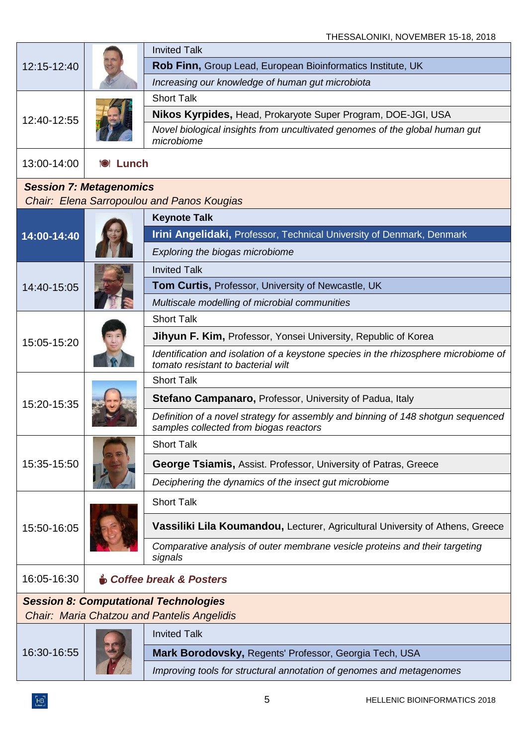| 12:15-12:40                    |                  | <b>Invited Talk</b>                                                                                                        |
|--------------------------------|------------------|----------------------------------------------------------------------------------------------------------------------------|
|                                |                  | Rob Finn, Group Lead, European Bioinformatics Institute, UK                                                                |
|                                |                  | Increasing our knowledge of human gut microbiota                                                                           |
| 12:40-12:55                    |                  | <b>Short Talk</b>                                                                                                          |
|                                |                  | <b>Nikos Kyrpides, Head, Prokaryote Super Program, DOE-JGI, USA</b>                                                        |
|                                |                  | Novel biological insights from uncultivated genomes of the global human gut<br>microbiome                                  |
| 13:00-14:00                    | <b>101 Lunch</b> |                                                                                                                            |
| <b>Session 7: Metagenomics</b> |                  |                                                                                                                            |
|                                |                  | Chair: Elena Sarropoulou and Panos Kougias                                                                                 |
|                                |                  | <b>Keynote Talk</b>                                                                                                        |
| 14:00-14:40                    |                  | Irini Angelidaki, Professor, Technical University of Denmark, Denmark                                                      |
|                                |                  | Exploring the biogas microbiome                                                                                            |
|                                |                  | <b>Invited Talk</b>                                                                                                        |
| 14:40-15:05                    |                  | <b>Tom Curtis, Professor, University of Newcastle, UK</b>                                                                  |
|                                |                  | Multiscale modelling of microbial communities                                                                              |
|                                |                  | <b>Short Talk</b>                                                                                                          |
| 15:05-15:20                    |                  | <b>Jihyun F. Kim, Professor, Yonsei University, Republic of Korea</b>                                                      |
|                                |                  | Identification and isolation of a keystone species in the rhizosphere microbiome of<br>tomato resistant to bacterial wilt  |
|                                |                  | <b>Short Talk</b>                                                                                                          |
| 15:20-15:35                    |                  | <b>Stefano Campanaro, Professor, University of Padua, Italy</b>                                                            |
|                                |                  | Definition of a novel strategy for assembly and binning of 148 shotgun sequenced<br>samples collected from biogas reactors |
|                                |                  | <b>Short Talk</b>                                                                                                          |
| 15:35-15:50                    |                  | <b>George Tsiamis, Assist. Professor, University of Patras, Greece</b>                                                     |
|                                |                  | Deciphering the dynamics of the insect gut microbiome                                                                      |
|                                |                  | <b>Short Talk</b>                                                                                                          |
| 15:50-16:05                    |                  | Vassiliki Lila Koumandou, Lecturer, Agricultural University of Athens, Greece                                              |
|                                |                  | Comparative analysis of outer membrane vesicle proteins and their targeting<br>signals                                     |
| 16:05-16:30                    |                  | <b>Soffee break &amp; Posters</b>                                                                                          |
|                                |                  | <b>Session 8: Computational Technologies</b>                                                                               |
|                                |                  | <b>Chair: Maria Chatzou and Pantelis Angelidis</b>                                                                         |
|                                |                  | <b>Invited Talk</b>                                                                                                        |
| 16:30-16:55                    |                  | Mark Borodovsky, Regents' Professor, Georgia Tech, USA                                                                     |
|                                |                  | Improving tools for structural annotation of genomes and metagenomes                                                       |
|                                |                  |                                                                                                                            |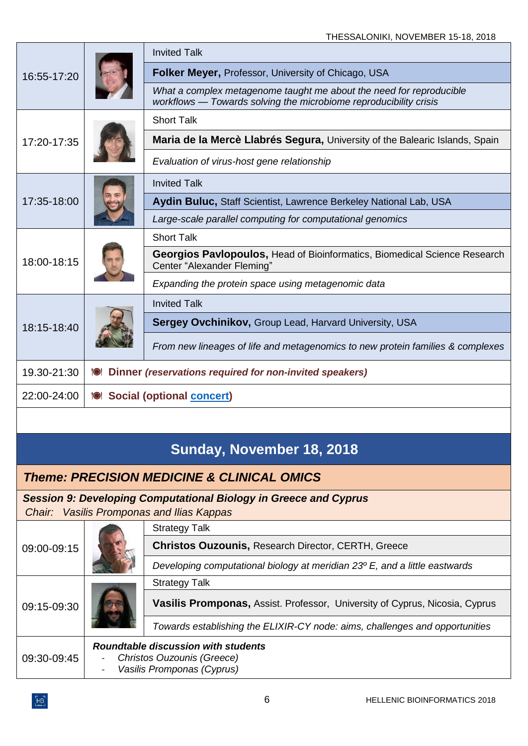| 16:55-17:20                                           |                                                                | <b>Invited Talk</b>                                                                                                                      |  |
|-------------------------------------------------------|----------------------------------------------------------------|------------------------------------------------------------------------------------------------------------------------------------------|--|
|                                                       |                                                                | <b>Folker Meyer, Professor, University of Chicago, USA</b>                                                                               |  |
|                                                       |                                                                | What a complex metagenome taught me about the need for reproducible<br>workflows - Towards solving the microbiome reproducibility crisis |  |
| 17:20-17:35                                           |                                                                | <b>Short Talk</b>                                                                                                                        |  |
|                                                       |                                                                | Maria de la Mercè Llabrés Segura, University of the Balearic Islands, Spain                                                              |  |
|                                                       |                                                                | Evaluation of virus-host gene relationship                                                                                               |  |
|                                                       |                                                                | <b>Invited Talk</b>                                                                                                                      |  |
| 17:35-18:00                                           |                                                                | Aydin Buluc, Staff Scientist, Lawrence Berkeley National Lab, USA                                                                        |  |
|                                                       |                                                                | Large-scale parallel computing for computational genomics                                                                                |  |
|                                                       |                                                                | <b>Short Talk</b>                                                                                                                        |  |
| 18:00-18:15                                           |                                                                | Georgios Pavlopoulos, Head of Bioinformatics, Biomedical Science Research<br>Center "Alexander Fleming"                                  |  |
|                                                       |                                                                | Expanding the protein space using metagenomic data                                                                                       |  |
|                                                       |                                                                | <b>Invited Talk</b>                                                                                                                      |  |
| 18:15-18:40                                           |                                                                | <b>Sergey Ovchinikov, Group Lead, Harvard University, USA</b>                                                                            |  |
|                                                       |                                                                | From new lineages of life and metagenomics to new protein families & complexes                                                           |  |
| 19.30-21:30                                           | Dinner (reservations required for non-invited speakers)<br>'Ol |                                                                                                                                          |  |
| 22:00-24:00                                           | <b>10 Social (optional concert)</b>                            |                                                                                                                                          |  |
|                                                       |                                                                |                                                                                                                                          |  |
| Sunday, November 18, 2018                             |                                                                |                                                                                                                                          |  |
| <b>Theme: PRECISION MEDICINE &amp; CLINICAL OMICS</b> |                                                                |                                                                                                                                          |  |
|                                                       |                                                                | <b>Session 9: Developing Computational Biology in Greece and Cyprus</b>                                                                  |  |
| Chair:                                                |                                                                | <b>Vasilis Promponas and Ilias Kappas</b>                                                                                                |  |
|                                                       |                                                                | <b>Strategy Talk</b>                                                                                                                     |  |
| 09:00-09:15                                           |                                                                | <b>Christos Ouzounis, Research Director, CERTH, Greece</b>                                                                               |  |
|                                                       |                                                                | Developing computational biology at meridian 23° E, and a little eastwards                                                               |  |
|                                                       |                                                                | <b>Strategy Talk</b>                                                                                                                     |  |
| 09:15-09:30                                           |                                                                | <b>Vasilis Promponas, Assist. Professor, University of Cyprus, Nicosia, Cyprus</b>                                                       |  |
|                                                       |                                                                | Towards establishing the ELIXIR-CY node: aims, challenges and opportunities                                                              |  |
|                                                       |                                                                | <b>Roundtable discussion with students</b>                                                                                               |  |

09:30-09:45 - *Christos Ouzounis (Greece)* - *Vasilis Promponas (Cyprus)*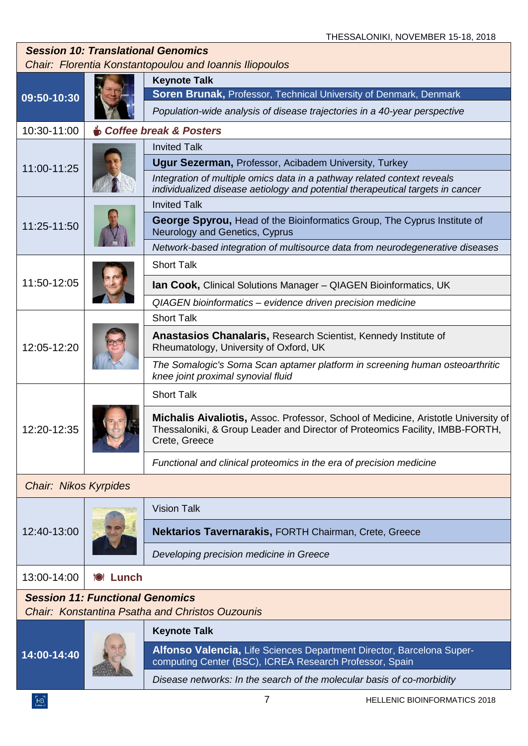| <b>Session 10: Translational Genomics</b><br>Chair: Florentia Konstantopoulou and Ioannis Iliopoulos |                  |                                                                                                                                                                                      |  |
|------------------------------------------------------------------------------------------------------|------------------|--------------------------------------------------------------------------------------------------------------------------------------------------------------------------------------|--|
| 09:50-10:30                                                                                          |                  | <b>Keynote Talk</b>                                                                                                                                                                  |  |
|                                                                                                      |                  | Soren Brunak, Professor, Technical University of Denmark, Denmark                                                                                                                    |  |
|                                                                                                      |                  | Population-wide analysis of disease trajectories in a 40-year perspective                                                                                                            |  |
| 10:30-11:00                                                                                          |                  | <b>Soffee break &amp; Posters</b>                                                                                                                                                    |  |
| 11:00-11:25                                                                                          |                  | <b>Invited Talk</b>                                                                                                                                                                  |  |
|                                                                                                      |                  | <b>Ugur Sezerman, Professor, Acibadem University, Turkey</b>                                                                                                                         |  |
|                                                                                                      |                  | Integration of multiple omics data in a pathway related context reveals<br>individualized disease aetiology and potential therapeutical targets in cancer                            |  |
|                                                                                                      |                  | <b>Invited Talk</b>                                                                                                                                                                  |  |
| 11:25-11:50                                                                                          |                  | George Spyrou, Head of the Bioinformatics Group, The Cyprus Institute of<br>Neurology and Genetics, Cyprus                                                                           |  |
|                                                                                                      |                  | Network-based integration of multisource data from neurodegenerative diseases                                                                                                        |  |
|                                                                                                      |                  | <b>Short Talk</b>                                                                                                                                                                    |  |
| 11:50-12:05                                                                                          |                  | <b>Ian Cook, Clinical Solutions Manager - QIAGEN Bioinformatics, UK</b>                                                                                                              |  |
|                                                                                                      |                  | QIAGEN bioinformatics - evidence driven precision medicine                                                                                                                           |  |
|                                                                                                      |                  | <b>Short Talk</b>                                                                                                                                                                    |  |
| 12:05-12:20                                                                                          |                  | Anastasios Chanalaris, Research Scientist, Kennedy Institute of<br>Rheumatology, University of Oxford, UK                                                                            |  |
|                                                                                                      |                  | The Somalogic's Soma Scan aptamer platform in screening human osteoarthritic<br>knee joint proximal synovial fluid                                                                   |  |
|                                                                                                      |                  | <b>Short Talk</b>                                                                                                                                                                    |  |
| 12:20-12:35                                                                                          |                  | Michalis Aivaliotis, Assoc. Professor, School of Medicine, Aristotle University of<br>Thessaloniki, & Group Leader and Director of Proteomics Facility, IMBB-FORTH,<br>Crete, Greece |  |
|                                                                                                      |                  | Functional and clinical proteomics in the era of precision medicine                                                                                                                  |  |
| <b>Chair: Nikos Kyrpides</b>                                                                         |                  |                                                                                                                                                                                      |  |
|                                                                                                      |                  | <b>Vision Talk</b>                                                                                                                                                                   |  |
| 12:40-13:00                                                                                          |                  | Nektarios Tavernarakis, FORTH Chairman, Crete, Greece                                                                                                                                |  |
|                                                                                                      |                  | Developing precision medicine in Greece                                                                                                                                              |  |
| 13:00-14:00                                                                                          | <b>101 Lunch</b> |                                                                                                                                                                                      |  |
| <b>Session 11: Functional Genomics</b><br><b>Chair: Konstantina Psatha and Christos Ouzounis</b>     |                  |                                                                                                                                                                                      |  |
|                                                                                                      |                  | <b>Keynote Talk</b>                                                                                                                                                                  |  |
| $14:00 - 14:40$                                                                                      |                  | Alfonso Valencia, Life Sciences Department Director, Barcelona Super-<br>computing Center (BSC), ICREA Research Professor, Spain                                                     |  |
|                                                                                                      |                  | Disease networks: In the search of the molecular basis of co-morbidity                                                                                                               |  |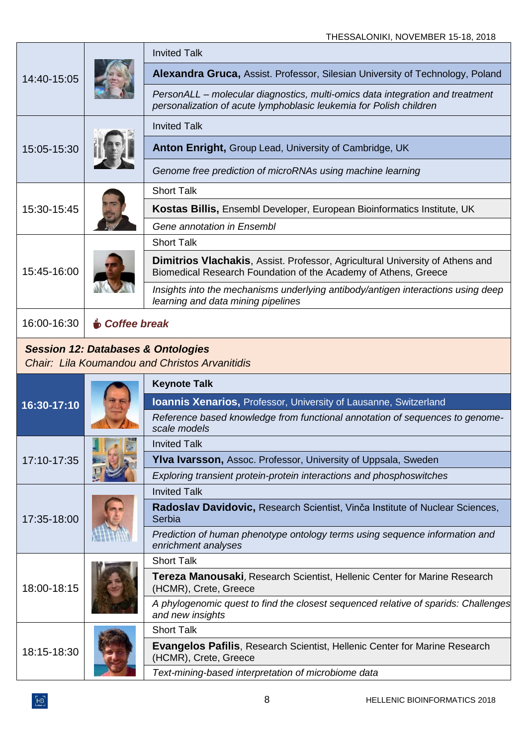| 14:40-15:05                                                                                            |                     | <b>Invited Talk</b>                                                                                                                                     |  |
|--------------------------------------------------------------------------------------------------------|---------------------|---------------------------------------------------------------------------------------------------------------------------------------------------------|--|
|                                                                                                        |                     | Alexandra Gruca, Assist. Professor, Silesian University of Technology, Poland                                                                           |  |
|                                                                                                        |                     | PersonALL – molecular diagnostics, multi-omics data integration and treatment<br>personalization of acute lymphoblasic leukemia for Polish children     |  |
| 15:05-15:30                                                                                            |                     | <b>Invited Talk</b>                                                                                                                                     |  |
|                                                                                                        |                     | Anton Enright, Group Lead, University of Cambridge, UK                                                                                                  |  |
|                                                                                                        |                     | Genome free prediction of microRNAs using machine learning                                                                                              |  |
|                                                                                                        |                     | <b>Short Talk</b>                                                                                                                                       |  |
| 15:30-15:45                                                                                            |                     | Kostas Billis, Ensembl Developer, European Bioinformatics Institute, UK                                                                                 |  |
|                                                                                                        |                     | Gene annotation in Ensembl                                                                                                                              |  |
|                                                                                                        |                     | <b>Short Talk</b>                                                                                                                                       |  |
| 15:45-16:00                                                                                            |                     | <b>Dimitrios Vlachakis, Assist. Professor, Agricultural University of Athens and</b><br>Biomedical Research Foundation of the Academy of Athens, Greece |  |
|                                                                                                        |                     | Insights into the mechanisms underlying antibody/antigen interactions using deep<br>learning and data mining pipelines                                  |  |
| 16:00-16:30                                                                                            | <b>Soffee break</b> |                                                                                                                                                         |  |
| <b>Session 12: Databases &amp; Ontologies</b><br><b>Chair: Lila Koumandou and Christos Arvanitidis</b> |                     |                                                                                                                                                         |  |
|                                                                                                        |                     |                                                                                                                                                         |  |
|                                                                                                        |                     | <b>Keynote Talk</b>                                                                                                                                     |  |
|                                                                                                        |                     | Ioannis Xenarios, Professor, University of Lausanne, Switzerland                                                                                        |  |
| 16:30-17:10                                                                                            |                     | Reference based knowledge from functional annotation of sequences to genome-<br>scale models                                                            |  |
|                                                                                                        |                     | <b>Invited Talk</b>                                                                                                                                     |  |
| 17:10-17:35                                                                                            |                     | Ylva Ivarsson, Assoc. Professor, University of Uppsala, Sweden                                                                                          |  |
|                                                                                                        |                     | Exploring transient protein-protein interactions and phosphoswitches                                                                                    |  |
|                                                                                                        |                     | <b>Invited Talk</b>                                                                                                                                     |  |
| 17:35-18:00                                                                                            |                     | Radoslav Davidovic, Research Scientist, Vinča Institute of Nuclear Sciences,<br>Serbia                                                                  |  |
|                                                                                                        |                     | Prediction of human phenotype ontology terms using sequence information and<br>enrichment analyses                                                      |  |
|                                                                                                        |                     | <b>Short Talk</b>                                                                                                                                       |  |
| 18:00-18:15                                                                                            |                     | <b>Tereza Manousaki</b> , Research Scientist, Hellenic Center for Marine Research<br>(HCMR), Crete, Greece                                              |  |
|                                                                                                        |                     | A phylogenomic quest to find the closest sequenced relative of sparids: Challenges<br>and new insights                                                  |  |
|                                                                                                        |                     | <b>Short Talk</b>                                                                                                                                       |  |
| 18:15-18:30                                                                                            |                     | <b>Evangelos Pafilis, Research Scientist, Hellenic Center for Marine Research</b><br>(HCMR), Crete, Greece                                              |  |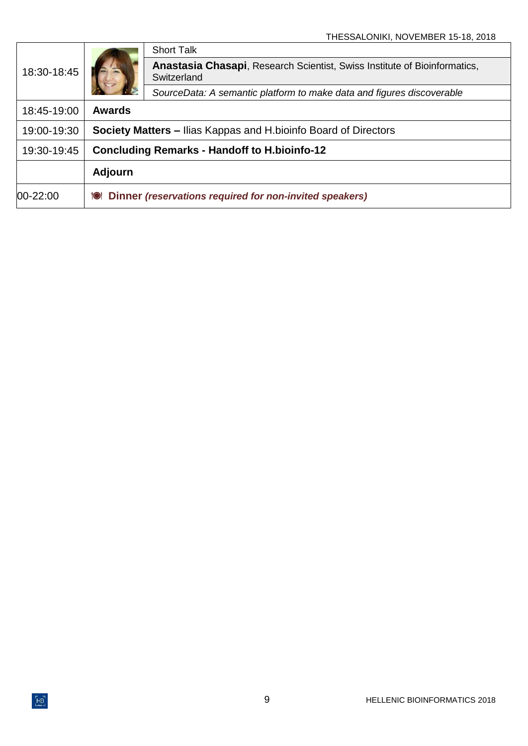| 18:30-18:45 |                                                                         | <b>Short Talk</b>                                                                                |
|-------------|-------------------------------------------------------------------------|--------------------------------------------------------------------------------------------------|
|             |                                                                         | <b>Anastasia Chasapi</b> , Research Scientist, Swiss Institute of Bioinformatics,<br>Switzerland |
|             |                                                                         | SourceData: A semantic platform to make data and figures discoverable                            |
| 18:45-19:00 | <b>Awards</b>                                                           |                                                                                                  |
| 19:00-19:30 | <b>Society Matters – Ilias Kappas and H. bioinfo Board of Directors</b> |                                                                                                  |
| 19:30-19:45 | <b>Concluding Remarks - Handoff to H.bioinfo-12</b>                     |                                                                                                  |
|             | <b>Adjourn</b>                                                          |                                                                                                  |
| 00-22:00    | Dinner (reservations required for non-invited speakers)<br>ïOI          |                                                                                                  |